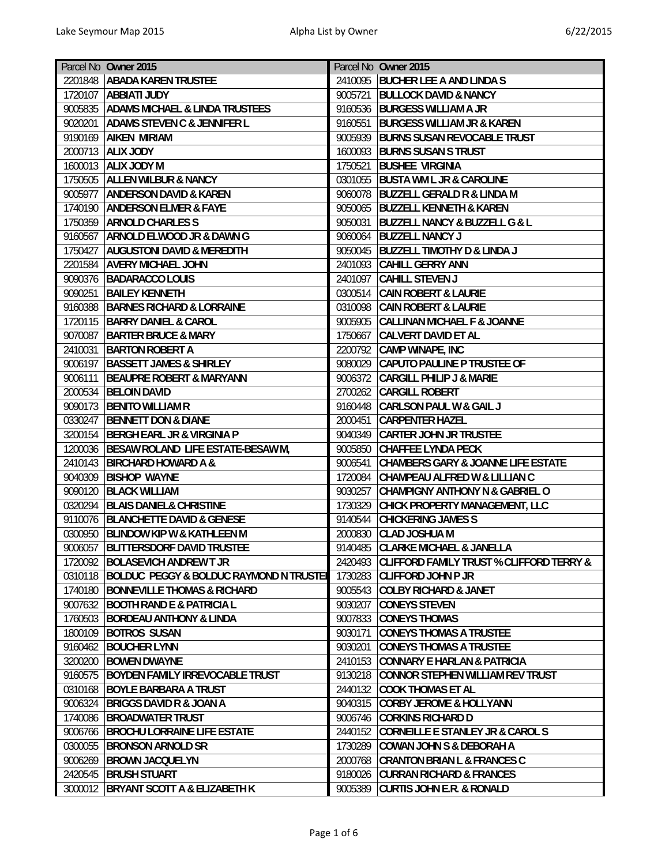| Parcel No Owner 2015 |                                                 |         | Parcel No Owner 2015                                |
|----------------------|-------------------------------------------------|---------|-----------------------------------------------------|
| 2201848              | <b>ABADA KAREN TRUSTEE</b>                      |         | 2410095 BUCHER LEE A AND LINDA S                    |
|                      | 1720107   ABBIATI JUDY                          | 9005721 | <b>BULLOCK DAVID &amp; NANCY</b>                    |
|                      | 9005835 ADAMS MICHAEL & LINDA TRUSTEES          | 9160536 | <b>BURGESS WILLIAM A JR</b>                         |
| 9020201              | <b>ADAMS STEVEN C &amp; JENNIFER L</b>          | 9160551 | <b>BURGESS WILLIAM JR &amp; KAREN</b>               |
| 9190169              | <b>AIKEN MIRIAM</b>                             | 9005939 | <b>BURNS SUSAN REVOCABLE TRUST</b>                  |
| 2000713              | <b>ALIX JODY</b>                                | 1600093 | <b>BURNS SUSAN S TRUST</b>                          |
| 1600013              | <b>ALIX JODY M</b>                              | 1750521 | <b>BUSHEE VIRGINIA</b>                              |
|                      |                                                 |         | <b>BUSTA WM L JR &amp; CAROLINE</b>                 |
| 1750505              | <b>ALLEN WILBUR &amp; NANCY</b>                 | 0301055 |                                                     |
| 9005977              | <b>ANDERSON DAVID &amp; KAREN</b>               |         | 9060078 BUZZELL GERALD R & LINDA M                  |
| 1740190              | <b>ANDERSON ELMER &amp; FAYE</b>                | 9050065 | <b>BUZZELL KENNETH &amp; KAREN</b>                  |
| 1750359              | <b>ARNOLD CHARLES S</b>                         | 9050031 | <b>BUZZELL NANCY &amp; BUZZELL G &amp; L</b>        |
| 9160567              | <b>ARNOLD ELWOOD JR &amp; DAWN G</b>            | 9060064 | <b>BUZZELL NANCY J</b>                              |
| 1750427              | <b>AUGUSTONI DAVID &amp; MEREDITH</b>           | 9050045 | <b>BUZZELL TIMOTHY D &amp; LINDA J</b>              |
| 2201584              | <b>AVERY MICHAEL JOHN</b>                       | 2401093 | <b>CAHILL GERRY ANN</b>                             |
|                      | 9090376 BADARACCO LOUIS                         | 2401097 | <b>CAHILL STEVEN J</b>                              |
| 9090251              | <b>BAILEY KENNETH</b>                           | 0300514 | <b>CAIN ROBERT &amp; LAURIE</b>                     |
| 9160388              | <b>BARNES RICHARD &amp; LORRAINE</b>            | 0310098 | <b>CAIN ROBERT &amp; LAURIE</b>                     |
| 1720115              | <b>BARRY DANIEL &amp; CAROL</b>                 | 9005905 | <b>CALLINAN MICHAEL F &amp; JOANNE</b>              |
| 9070087              | <b>BARTER BRUCE &amp; MARY</b>                  | 1750667 | <b>CALVERT DAVID ET AL</b>                          |
| 2410031              | <b>BARTON ROBERT A</b>                          | 2200792 | <b>CAMP WINAPE, INC</b>                             |
| 9006197              | <b>BASSETT JAMES &amp; SHIRLEY</b>              | 9080029 | CAPUTO PAULINE P TRUSTEE OF                         |
| 9006111              | <b>BEAUPRE ROBERT &amp; MARYANN</b>             | 9006372 | <b>CARGILL PHILIP J &amp; MARIE</b>                 |
| 2000534              | <b>BELOIN DAVID</b>                             | 2700262 | <b>CARGILL ROBERT</b>                               |
|                      | 9090173 BENITO WILLIAM R                        |         | 9160448 CARLSON PAUL W & GAIL J                     |
| 0330247              | <b>BENNETT DON &amp; DIANE</b>                  | 2000451 | <b>CARPENTER HAZEL</b>                              |
| 3200154              | <b>BERGH EARL JR &amp; VIRGINIA P</b>           | 9040349 | <b>CARTER JOHN JR TRUSTEE</b>                       |
|                      | 1200036 BESAW ROLAND LIFE ESTATE-BESAW M,       | 9005850 | <b>CHAFFEE LYNDA PECK</b>                           |
| 2410143              | <b>BIRCHARD HOWARD A &amp;</b>                  | 9006541 | <b>CHAMBERS GARY &amp; JOANNE LIFE ESTATE</b>       |
| 9040309              | <b>BISHOP WAYNE</b>                             | 1720084 | CHAMPEAU ALFRED W & LILLIAN C                       |
| 9090120              | <b>BLACK WILLIAM</b>                            | 9030257 | <b>CHAMPIGNY ANTHONY N &amp; GABRIEL O</b>          |
| 0320294              | <b>BLAIS DANIEL&amp; CHRISTINE</b>              | 1730329 | CHICK PROPERTY MANAGEMENT, LLC                      |
| 9110076              | <b>BLANCHETTE DAVID &amp; GENESE</b>            | 9140544 | <b>CHICKERING JAMES S</b>                           |
| 0300950              | <b>BLINDOW KIP W &amp; KATHLEEN M</b>           | 2000830 | <b>CLAD JOSHUA M</b>                                |
|                      | 9006057 BLITTERSDORF DAVID TRUSTEE              |         | 9140485 CLARKE MICHAEL & JANELLA                    |
| 1720092              | <b>BOLASEVICH ANDREW T JR</b>                   | 2420493 | <b>CLIFFORD FAMILY TRUST % CLIFFORD TERRY &amp;</b> |
|                      | 0310118 BOLDUC PEGGY & BOLDUC RAYMOND N TRUSTEI | 1730283 | <b>CLIFFORD JOHN P JR</b>                           |
| 1740180              | <b>BONNEVILLE THOMAS &amp; RICHARD</b>          | 9005543 | <b>COLBY RICHARD &amp; JANET</b>                    |
| 9007632              | <b>BOOTH RAND E &amp; PATRICIA L</b>            | 9030207 | <b>CONEYS STEVEN</b>                                |
| 1760503              | <b>BORDEAU ANTHONY &amp; LINDA</b>              | 9007833 | <b>CONEYS THOMAS</b>                                |
| 1800109              | <b>BOTROS SUSAN</b>                             | 9030171 | <b>CONEYS THOMAS A TRUSTEE</b>                      |
| 9160462              | <b>BOUCHER LYNN</b>                             | 9030201 | <b>CONEYS THOMAS A TRUSTEE</b>                      |
| 3200200              | <b>BOWEN DWAYNE</b>                             | 2410153 | <b>CONNARY E HARLAN &amp; PATRICIA</b>              |
| 9160575              | <b>BOYDEN FAMILY IRREVOCABLE TRUST</b>          |         | 9130218 CONNOR STEPHEN WILLIAM REV TRUST            |
| 0310168              | <b>BOYLE BARBARA A TRUST</b>                    | 2440132 | <b>COOK THOMAS ET AL</b>                            |
| 9006324              | <b>BRIGGS DAVID R &amp; JOAN A</b>              | 9040315 | <b>CORBY JEROME &amp; HOLLYANN</b>                  |
| 1740086              | <b>BROADWATER TRUST</b>                         |         | 9006746 CORKINS RICHARD D                           |
| 9006766              | <b>BROCHU LORRAINE LIFE ESTATE</b>              |         | 2440152 CORNEILLE E STANLEY JR & CAROL S            |
| 0300055              | <b>BRONSON ARNOLD SR</b>                        | 1730289 | <b>COWAN JOHN S &amp; DEBORAH A</b>                 |
|                      | 9006269 BROWN JACQUELYN                         | 2000768 | <b>CRANTON BRIAN L &amp; FRANCES C</b>              |
| 2420545              | <b>BRUSH STUART</b>                             |         | 9180026 CURRAN RICHARD & FRANCES                    |
| 3000012              | <b>BRYANT SCOTT A &amp; ELIZABETH K</b>         | 9005389 | <b>CURTIS JOHN E.R. &amp; RONALD</b>                |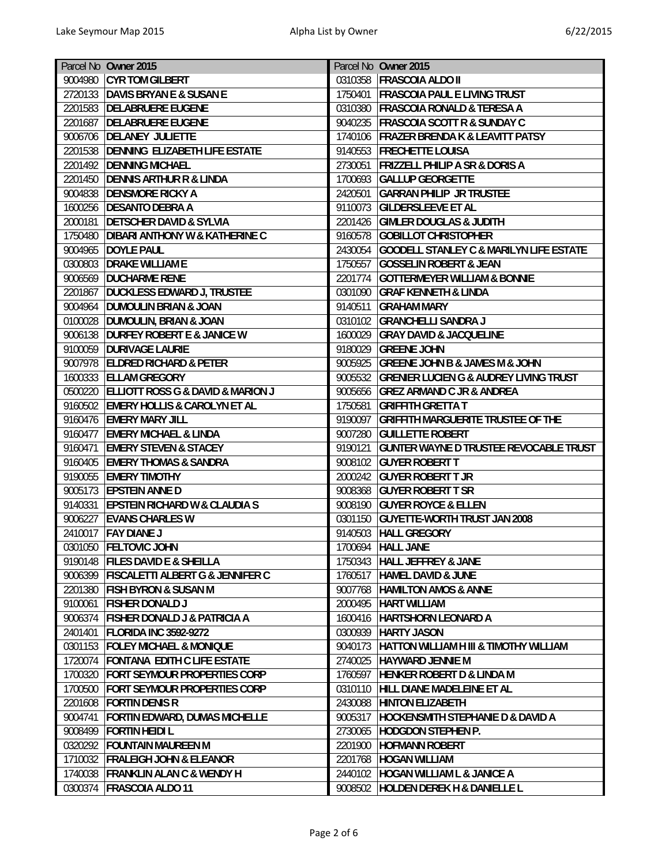|         | Parcel No Owner 2015                             |         | Parcel No Owner 2015                               |
|---------|--------------------------------------------------|---------|----------------------------------------------------|
| 9004980 | <b>CYR TOM GILBERT</b>                           | 0310358 | <b>FRASCOIA ALDO II</b>                            |
|         | 2720133 DAVIS BRYAN E & SUSAN E                  | 1750401 | <b>FRASCOIA PAUL E LIVING TRUST</b>                |
|         | 2201583 DELABRUERE EUGENE                        | 0310380 | <b>FRASCOIA RONALD &amp; TERESA A</b>              |
|         |                                                  |         |                                                    |
| 2201687 | <b>DELABRUERE EUGENE</b>                         | 9040235 | <b>FRASCOIA SCOTT R &amp; SUNDAY C</b>             |
| 9006706 | <b>DELANEY JULIETTE</b>                          | 1740106 | <b>FRAZER BRENDA K &amp; LEAVITT PATSY</b>         |
| 2201538 | <b>DENNING ELIZABETH LIFE ESTATE</b>             | 9140553 | <b>FRECHETTE LOUISA</b>                            |
| 2201492 | <b>DENNING MICHAEL</b>                           | 2730051 | <b>FRIZZELL PHILIP A SR &amp; DORIS A</b>          |
| 2201450 | <b>DENNIS ARTHUR R &amp; LINDA</b>               | 1700693 | <b>GALLUP GEORGETTE</b>                            |
| 9004838 | <b>DENSMORE RICKY A</b>                          | 2420501 | <b>GARRAN PHILIP JR TRUSTEE</b>                    |
| 1600256 | <b>DESANTO DEBRA A</b>                           | 9110073 | <b>GILDERSLEEVE ET AL</b>                          |
| 2000181 | <b>DETSCHER DAVID &amp; SYLVIA</b>               | 2201426 | <b>GIMLER DOUGLAS &amp; JUDITH</b>                 |
| 1750480 | <b>DIBARI ANTHONY W &amp; KATHERINE C</b>        | 9160578 | <b>GOBILLOT CHRISTOPHER</b>                        |
| 9004965 | <b>DOYLE PAUL</b>                                | 2430054 | <b>GOODELL STANLEY C &amp; MARILYN LIFE ESTATE</b> |
| 0300803 | <b>DRAKE WILLIAM E</b>                           | 1750557 | <b>GOSSELIN ROBERT &amp; JEAN</b>                  |
|         | 9006569  DUCHARME RENE                           | 2201774 | <b>GOTTERMEYER WILLIAM &amp; BONNIE</b>            |
| 2201867 | <b>DUCKLESS EDWARD J, TRUSTEE</b>                | 0301090 | <b>GRAF KENNETH &amp; LINDA</b>                    |
| 9004964 | <b>DUMOULIN BRIAN &amp; JOAN</b>                 | 9140511 | <b>GRAHAM MARY</b>                                 |
| 0100028 | <b>DUMOULIN, BRIAN &amp; JOAN</b>                |         | 0310102 GRANCHELLI SANDRA J                        |
| 9006138 | <b>DURFEY ROBERT E &amp; JANICE W</b>            | 1600029 | <b>GRAY DAVID &amp; JACQUELINE</b>                 |
|         | 9100059 DURIVAGE LAURIE                          | 9180029 | <b>GREENE JOHN</b>                                 |
|         | 9007978 ELDRED RICHARD & PETER                   | 9005925 | <b>GREENE JOHN B &amp; JAMES M &amp; JOHN</b>      |
|         | 1600333 ELLAM GREGORY                            | 9005532 | <b>GRENIER LUCIEN G &amp; AUDREY LIVING TRUST</b>  |
| 0500220 | <b>ELLIOTT ROSS G &amp; DAVID &amp; MARION J</b> | 9005656 | <b>GREZ ARMAND C JR &amp; ANDREA</b>               |
|         | 9160502 EMERY HOLLIS & CAROLYN ET AL             | 1750581 | <b>GRIFFITH GRETTA T</b>                           |
|         |                                                  | 9190097 |                                                    |
| 9160476 | <b>EMERY MARY JILL</b>                           |         | <b>GRIFFITH MARGUERITE TRUSTEE OF THE</b>          |
| 9160477 | <b>EMERY MICHAEL &amp; LINDA</b>                 | 9007280 | <b>GUILLETTE ROBERT</b>                            |
| 9160471 | <b>EMERY STEVEN &amp; STACEY</b>                 | 9190121 | <b>GUNTER WAYNE D TRUSTEE REVOCABLE TRUST</b>      |
| 9160405 | <b>EMERY THOMAS &amp; SANDRA</b>                 |         | 9008102 GUYER ROBERT T                             |
| 9190055 | <b>EMERY TIMOTHY</b>                             |         | 2000242 GUYER ROBERT T JR                          |
|         | 9005173 EPSTEIN ANNE D                           | 9008368 | <b>GUYER ROBERT T SR</b>                           |
| 9140331 | <b>EPSTEIN RICHARD W &amp; CLAUDIA S</b>         |         | 9008190 GUYER ROYCE & ELLEN                        |
| 9006227 | <b>EVANS CHARLES W</b>                           | 0301150 | <b>GUYETTE-WORTH TRUST JAN 2008</b>                |
| 2410017 | <b>FAY DIANE J</b>                               |         | 9140503 HALL GREGORY                               |
|         | 0301050 FELTOVIC JOHN                            |         | 1700694 HALL JANE                                  |
|         | 9190148   FILES DAVID E & SHEILLA                |         | 1750343   HALL JEFFREY & JANE                      |
|         | 9006399   FISCALETTI ALBERT G & JENNIFER C       | 1760517 | <b>HAMEL DAVID &amp; JUNE</b>                      |
| 2201380 | <b>FISH BYRON &amp; SUSAN M</b>                  | 9007768 | <b>HAMILTON AMOS &amp; ANNE</b>                    |
| 9100061 | <b>FISHER DONALD J</b>                           | 2000495 | <b>HART WILLIAM</b>                                |
| 9006374 | <b>FISHER DONALD J &amp; PATRICIA A</b>          | 1600416 | <b>HARTSHORN LEONARD A</b>                         |
| 2401401 | <b>FLORIDA INC 3592-9272</b>                     | 0300939 | <b>HARTY JASON</b>                                 |
| 0301153 | <b>FOLEY MICHAEL &amp; MONIQUE</b>               | 9040173 | HATTON WILLIAM H III & TIMOTHY WILLIAM             |
| 1720074 | <b>FONTANA EDITH C LIFE ESTATE</b>               | 2740025 | <b>HAYWARD JENNIE M</b>                            |
|         | 1700320 FORT SEYMOUR PROPERTIES CORP             | 1760597 | <b>HENKER ROBERT D &amp; LINDA M</b>               |
| 1700500 | <b>FORT SEYMOUR PROPERTIES CORP</b>              | 0310110 | HILL DIANE MADELEINE ET AL                         |
|         | 2201608 FORTIN DENIS R                           | 2430088 | <b>HINTON ELIZABETH</b>                            |
| 9004741 | <b>FORTIN EDWARD, DUMAS MICHELLE</b>             | 9005317 | <b>HOCKENSMITH STEPHANIE D &amp; DAVID A</b>       |
| 9008499 | <b>FORTIN HEIDI L</b>                            | 2730065 | <b>HODGDON STEPHEN P.</b>                          |
|         | 0320292 FOUNTAIN MAUREEN M                       | 2201900 | <b>HOFMANN ROBERT</b>                              |
|         | 1710032 FRALEIGH JOHN & ELEANOR                  | 2201768 | <b>HOGAN WILLIAM</b>                               |
| 1740038 | <b>FRANKLIN ALAN C &amp; WENDY H</b>             | 2440102 | <b>HOGAN WILLIAM L &amp; JANICE A</b>              |
| 0300374 | <b>FRASCOIA ALDO 11</b>                          | 9008502 | <b>HOLDEN DEREK H &amp; DANIELLE L</b>             |
|         |                                                  |         |                                                    |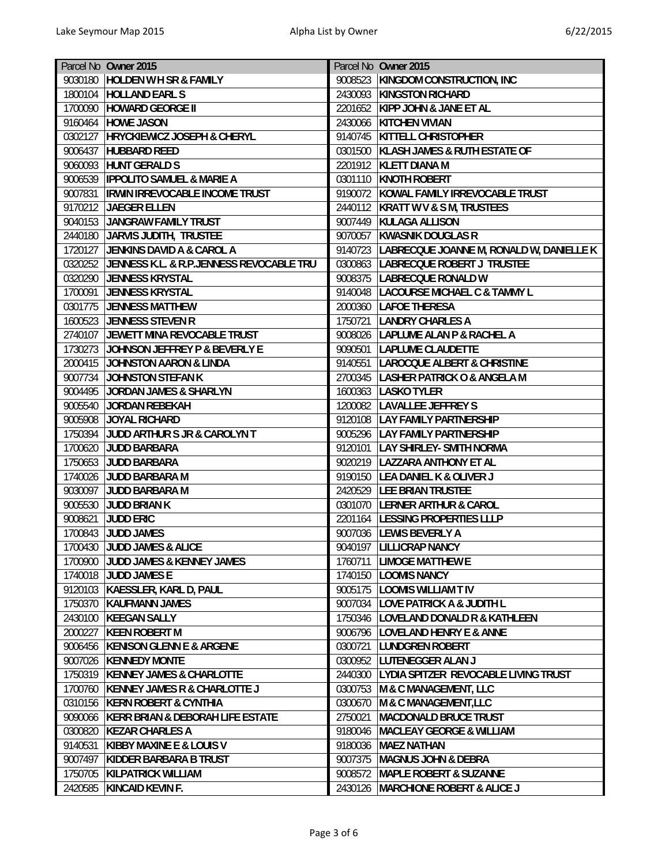|                    | Parcel No Owner 2015                     |         | Parcel No Owner 2015                             |
|--------------------|------------------------------------------|---------|--------------------------------------------------|
| 9030180            | <b>HOLDEN W H SR &amp; FAMILY</b>        |         | 9008523 KINGDOM CONSTRUCTION, INC                |
|                    | 1800104 HOLLAND EARL S                   |         | 2430093 KINGSTON RICHARD                         |
|                    | 1700090 HOWARD GEORGE II                 |         | 2201652 KIPP JOHN & JANE ET AL                   |
|                    | 9160464 HOWE JASON                       |         | 2430066 KITCHEN VIVIAN                           |
| 0302127            | <b>HRYCKIEWICZ JOSEPH &amp; CHERYL</b>   |         | 9140745 KITTELL CHRISTOPHER                      |
| 9006437            | <b>HUBBARD REED</b>                      |         | 0301500 KLASH JAMES & RUTH ESTATE OF             |
| 9060093            | <b>HUNT GERALD S</b>                     |         | 2201912 KLETT DIANA M                            |
| 9006539            | <b>IPPOLITO SAMUEL &amp; MARIE A</b>     |         | 0301110 KNOTH ROBERT                             |
| 9007831            | <b>IRWIN IRREVOCABLE INCOME TRUST</b>    |         | 9190072 KOWAL FAMILY IRREVOCABLE TRUST           |
|                    | 9170212 JAEGER ELLEN                     |         | 2440112 KRATT W V & S M, TRUSTEES                |
| 9040153            | JANGRAW FAMILY TRUST                     |         | 9007449 KULAGA ALLISON                           |
|                    | 2440180 JARVIS JUDITH, TRUSTEE           |         | 9070057 KWASNIK DOUGLAS R                        |
|                    | 1720127 JENKINS DAVID A & CAROL A        |         | 9140723 LABRECQUE JOANNE M, RONALD W, DANIELLE K |
| 0320252            | JENNESS K.L. & R.P.JENNESS REVOCABLE TRU |         | 0300863 LABRECQUE ROBERT J TRUSTEE               |
|                    | 0320290 JENNESS KRYSTAL                  |         | 9008375  LABRECQUE RONALD W                      |
| 1700091            | <b>JENNESS KRYSTAL</b>                   |         | 9140048  LACOURSE MICHAEL C & TAMMY L            |
| 0301775            | <b>JENNESS MATTHEW</b>                   |         | 2000360 LAFOE THERESA                            |
| 1600523            | <b>JENNESS STEVEN R</b>                  |         | 1750721 LANDRY CHARLES A                         |
|                    | 2740107 JEWETT MINA REVOCABLE TRUST      |         | 9008026 LAPLUME ALAN P & RACHEL A                |
| 1730273            | JOHNSON JEFFREY P & BEVERLY E            |         | 9090501  LAPLUME CLAUDETTE                       |
| 2000415            | JOHNSTON AARON & LINDA                   |         | 9140551 LAROCQUE ALBERT & CHRISTINE              |
|                    | 9007734 JOHNSTON STEFAN K                |         | 2700345  LASHER PATRICK O & ANGELA M             |
| 9004495            | JORDAN JAMES & SHARLYN                   |         | 1600363   LASKO TYLER                            |
| 9005540            | <b>JORDAN REBEKAH</b>                    |         | 1200082  LAVALLEE JEFFREY S                      |
| 9005908            | JOYAL RICHARD                            |         | 9120108   LAY FAMILY PARTNERSHIP                 |
|                    | 1750394 JUDD ARTHUR S JR & CAROLYN T     |         | 9005296   LAY FAMILY PARTNERSHIP                 |
| 1700620            | <b>JUDD BARBARA</b>                      |         | 9120101   LAY SHIRLEY- SMITH NORMA               |
| 1750653            | <b>JUDD BARBARA</b>                      |         | 9020219   LAZZARA ANTHONY ET AL                  |
| 1740026            | JUDD BARBARA M                           |         | 9190150 LEA DANIEL K & OLIVER J                  |
| 9030097            | <b>JUDD BARBARA M</b>                    |         | 2420529  LEE BRIAN TRUSTEE                       |
|                    | 9005530 JUDD BRIAN K                     |         | 0301070 LERNER ARTHUR & CAROL                    |
| 9008621            | <b>JUDD ERIC</b>                         |         | 2201164  LESSING PROPERTIES LLLP                 |
| 1700843            | <b>JUDD JAMES</b>                        |         | 9007036 LEWIS BEVERLY A                          |
|                    | 1700430 JUDD JAMES & ALICE               |         | 9040197 LILLICRAP NANCY                          |
|                    | 1700900 JUDD JAMES & KENNEY JAMES        |         | 1760711   LIMOGE MATTHEW E                       |
| 1740018            | <b>JUDD JAMES E</b>                      |         | 1740150  LOOMIS NANCY                            |
|                    | 9120103   KAESSLER, KARL D, PAUL         |         | 9005175   LOOMIS WILLIAM T IV                    |
|                    | 1750370 KAUFMANN JAMES                   |         | 9007034  LOVE PATRICK A & JUDITH L               |
| 2430100            | <b>KEEGAN SALLY</b>                      |         | 1750346   LOVELAND DONALD R & KATHLEEN           |
| 2000227            | <b>KEEN ROBERT M</b>                     |         | 9006796   LOVELAND HENRY E & ANNE                |
| 9006456            | <b>KENISON GLENN E &amp; ARGENE</b>      |         | 0300721 LUNDGREN ROBERT                          |
|                    | 9007026   KENNEDY MONTE                  |         | 0300952 LUTENEGGER ALAN J                        |
|                    | 1750319 KENNEY JAMES & CHARLOTTE         |         | 2440300 LYDIA SPITZER REVOCABLE LIVING TRUST     |
|                    | 1700760 KENNEY JAMES R & CHARLOTTE J     |         | 0300753 M & C MANAGEMENT, LLC                    |
| 0310156            | <b>KERN ROBERT &amp; CYNTHIA</b>         |         | 0300670 M & C MANAGEMENT, LLC                    |
| 9090066            | KERR BRIAN & DEBORAH LIFE ESTATE         | 2750021 | <b>MACDONALD BRUCE TRUST</b>                     |
|                    | <b>KEZAR CHARLES A</b>                   |         | 9180046   MACLEAY GEORGE & WILLIAM               |
| 0300820<br>9140531 | <b>KIBBY MAXINE E &amp; LOUIS V</b>      |         | 9180036 MAEZ NATHAN                              |
| 9007497            | KIDDER BARBARA B TRUST                   |         | 9007375   MAGNUS JOHN & DEBRA                    |
| 1750705            | <b>KILPATRICK WILLIAM</b>                |         | 9008572 MAPLE ROBERT & SUZANNE                   |
|                    | <b>KINCAID KEVIN F.</b>                  |         | 2430126 MARCHIONE ROBERT & ALICE J               |
| 2420585            |                                          |         |                                                  |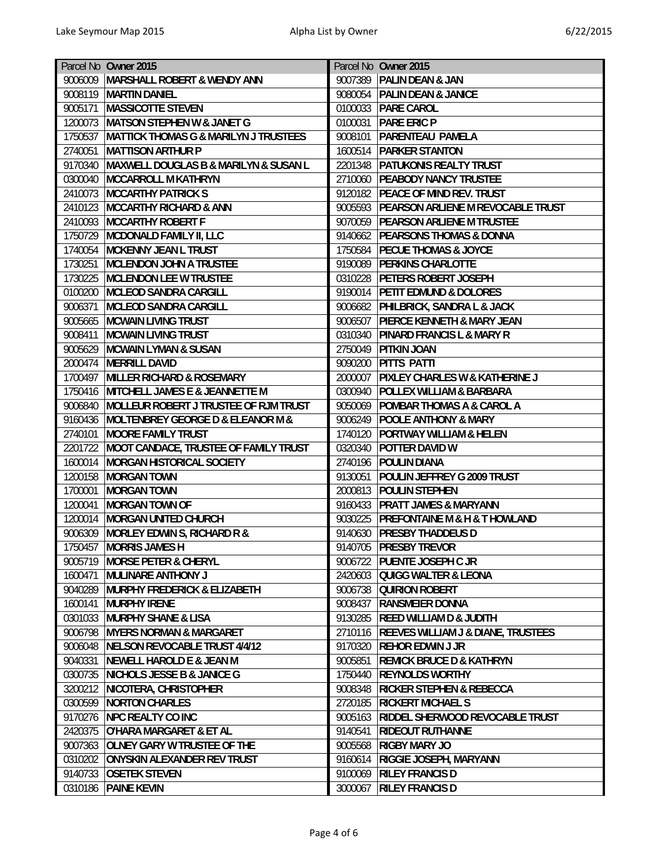| Parcel No Owner 2015                                        | Parcel No Owner 2015                                    |
|-------------------------------------------------------------|---------------------------------------------------------|
| MARSHALL ROBERT & WENDY ANN<br>9006009                      | 9007389   PALIN DEAN & JAN                              |
| 9008119<br><b>MARTIN DANIEL</b>                             | 9080054 PALIN DEAN & JANICE                             |
| <b>MASSICOTTE STEVEN</b><br>9005171                         | 0100033 PARE CAROL                                      |
| <b>MATSON STEPHEN W &amp; JANET G</b><br>1200073            | 0100031<br><b>PARE ERIC P</b>                           |
| 1750537<br><b>MATTICK THOMAS G &amp; MARILYN J TRUSTEES</b> | 9008101<br><b>PARENTEAU PAMELA</b>                      |
| 2740051<br><b>MATTISON ARTHUR P</b>                         | 1600514<br><b>PARKER STANTON</b>                        |
| 9170340<br>MAXWELL DOUGLAS B & MARILYN & SUSAN L            | 2201348<br><b>PATUKONIS REALTY TRUST</b>                |
| 0300040<br><b>MCCARROLL M KATHRYN</b>                       | 2710060<br><b>PEABODY NANCY TRUSTEE</b>                 |
| <b>MCCARTHY PATRICK S</b><br>2410073                        | 9120182 PEACE OF MIND REV. TRUST                        |
| <b>MCCARTHY RICHARD &amp; ANN</b><br>2410123                | 9005593 PEARSON ARLIENE M REVOCABLE TRUST               |
| 2410093<br><b>MCCARTHY ROBERT F</b>                         | 9070059 PEARSON ARLIENE M TRUSTEE                       |
| 1750729<br>MCDONALD FAMILY II, LLC                          | 9140662 PEARSONS THOMAS & DONNA                         |
| 1740054<br><b>MCKENNY JEAN L TRUST</b>                      | 1750584 PECUE THOMAS & JOYCE                            |
| 1730251<br><b>MCLENDON JOHN A TRUSTEE</b>                   | 9190089<br><b>PERKINS CHARLOTTE</b>                     |
| <b>MCLENDON LEE W TRUSTEE</b><br>1730225                    | 0310228 PETERS ROBERT JOSEPH                            |
| <b>MCLEOD SANDRA CARGILL</b><br>0100200                     | 9190014 PETIT EDMUND & DOLORES                          |
| 9006371<br><b>MCLEOD SANDRA CARGILL</b>                     | 9006682 PHILBRICK, SANDRA L & JACK                      |
| 9005665<br><b>MCWAIN LIVING TRUST</b>                       | 9006507<br><b>PIERCE KENNETH &amp; MARY JEAN</b>        |
| 9008411<br><b>MCWAIN LIVING TRUST</b>                       | 0310340 PINARD FRANCIS L & MARY R                       |
| 9005629<br><b>MCWAIN LYMAN &amp; SUSAN</b>                  | 2750049<br><b>PITKIN JOAN</b>                           |
| <b>MERRILL DAVID</b><br>2000474                             | 9090200<br><b>PITTS PATTI</b>                           |
| 1700497<br><b>MILLER RICHARD &amp; ROSEMARY</b>             | 2000007   PIXLEY CHARLES W & KATHERINE J                |
| 1750416<br>MITCHELL JAMES E & JEANNETTE M                   | 0300940<br><b>POLLEX WILLIAM &amp; BARBARA</b>          |
| 9006840<br>MOLLEUR ROBERT J TRUSTEE OF RJM TRUST            | 9050069<br><b>POMBAR THOMAS A &amp; CAROL A</b>         |
| 9160436<br><b>MOLTENBREY GEORGE D &amp; ELEANOR M &amp;</b> | 9006249 POOLE ANTHONY & MARY                            |
| 2740101<br><b>MOORE FAMILY TRUST</b>                        | 1740120<br><b>PORTWAY WILLIAM &amp; HELEN</b>           |
| MOOT CANDACE, TRUSTEE OF FAMILY TRUST<br>2201722            | 0320340<br><b>POTTER DAVID W</b>                        |
| 1600014<br><b>MORGAN HISTORICAL SOCIETY</b>                 | 2740196 POULIN DIANA                                    |
| 1200158<br><b>MORGAN TOWN</b>                               | 9130051<br><b>POULIN JEFFREY G 2009 TRUST</b>           |
| 1700001<br><b>MORGAN TOWN</b>                               | 2000813 POULIN STEPHEN                                  |
| 1200041<br><b>MORGAN TOWN OF</b>                            | 9160433 PRATT JAMES & MARYANN                           |
| <b>MORGAN UNITED CHURCH</b><br>1200014                      | 9030225<br><b>PREFONTAINE M &amp; H &amp; T HOWLAND</b> |
| 9006309<br>MORLEY EDWIN S, RICHARD R &                      | 9140630 PRESBY THADDEUS D                               |
| 1750457 MORRIS JAMES H                                      | 9140705 PRESBY TREVOR                                   |
| <b>MORSE PETER &amp; CHERYL</b><br>9005719                  | 9006722   PUENTE JOSEPH C JR                            |
| <b>MULINARE ANTHONY J</b><br>1600471                        | 2420603 QUIGG WALTER & LEONA                            |
| 9040289 MURPHY FREDERICK & ELIZABETH                        | 9006738 QUIRION ROBERT                                  |
| 1600141<br><b>MURPHY IRENE</b>                              | 9008437 RANSMEIER DONNA                                 |
| 0301033<br><b>MURPHY SHANE &amp; LISA</b>                   | 9130285 REED WILLIAM D & JUDITH                         |
| 9006798<br><b>MYERS NORMAN &amp; MARGARET</b>               | 2710116 REEVES WILLIAM J & DIANE, TRUSTEES              |
| 9006048<br>NELSON REVOCABLE TRUST 4/4/12                    | 9170320 REHOR EDWIN J JR                                |
| 9040331 NEWELL HAROLD E & JEAN M                            | 9005851<br><b>REMICK BRUCE D &amp; KATHRYN</b>          |
| 0300735 NICHOLS JESSE B & JANICE G                          | 1750440 REYNOLDS WORTHY                                 |
| 3200212 NICOTERA, CHRISTOPHER                               | 9008348 RICKER STEPHEN & REBECCA                        |
| 0300599<br>NORTON CHARLES                                   | 2720185<br><b>RICKERT MICHAEL S</b>                     |
| 9170276 NPC REALTY CO INC                                   | 9005163 RIDDEL SHERWOOD REVOCABLE TRUST                 |
| O'HARA MARGARET & ET AL<br>2420375                          | 9140541<br><b>RIDEOUT RUTHANNE</b>                      |
| <b>OLNEY GARY W TRUSTEE OF THE</b><br>9007363               | <b>RIGBY MARY JO</b><br>9005568                         |
| 0310202 ONYSKIN ALEXANDER REV TRUST                         | 9160614<br><b>RIGGIE JOSEPH, MARYANN</b>                |
| 9140733<br><b>OSETEK STEVEN</b>                             | <b>RILEY FRANCIS D</b><br>9100069                       |
| <b>PAINE KEVIN</b><br>0310186                               | <b>RILEY FRANCIS D</b><br>3000067                       |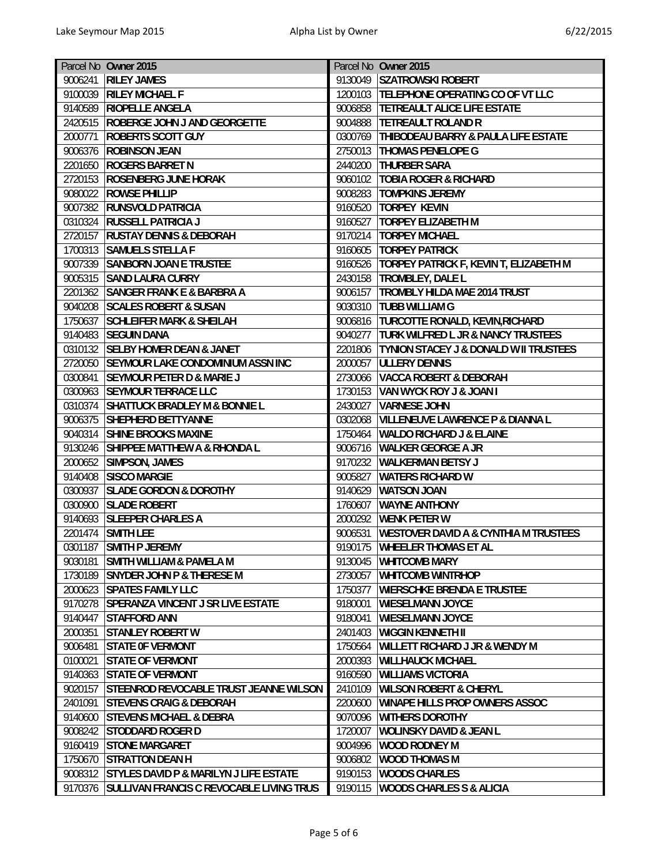|                    | Parcel No Owner 2015                                              |                    | Parcel No Owner 2015                                                    |
|--------------------|-------------------------------------------------------------------|--------------------|-------------------------------------------------------------------------|
| 9006241            | <b>RILEY JAMES</b>                                                | 9130049            | <b>SZATROWSKI ROBERT</b>                                                |
|                    | 9100039 RILEY MICHAEL F                                           | 1200103            | <b>TELEPHONE OPERATING CO OF VT LLC</b>                                 |
|                    | 9140589 RIOPELLE ANGELA                                           | 9006858            | <b>TETREAULT ALICE LIFE ESTATE</b>                                      |
| 2420515            | <b>ROBERGE JOHN J AND GEORGETTE</b>                               | 9004888            | <b>TETREAULT ROLAND R</b>                                               |
| 2000771            | <b>ROBERTS SCOTT GUY</b>                                          | 0300769            | <b>THIBODEAU BARRY &amp; PAULA LIFE ESTATE</b>                          |
| 9006376            | <b>ROBINSON JEAN</b>                                              | 2750013            | <b>THOMAS PENELOPE G</b>                                                |
| 2201650            | <b>ROGERS BARRET N</b>                                            | 2440200            | <b>THURBER SARA</b>                                                     |
| 2720153            | <b>ROSENBERG JUNE HORAK</b>                                       | 9060102            | <b>TOBIA ROGER &amp; RICHARD</b>                                        |
|                    | 9080022 ROWSE PHILLIP                                             | 9008283            | <b>TOMPKINS JEREMY</b>                                                  |
| 9007382            | <b>RUNSVOLD PATRICIA</b>                                          | 9160520            | <b>TORPEY KEVIN</b>                                                     |
| 0310324            | <b>RUSSELL PATRICIA J</b>                                         | 9160527            | <b>TORPEY ELIZABETH M</b>                                               |
| 2720157            | <b>RUSTAY DENNIS &amp; DEBORAH</b>                                |                    | 9170214   TORPEY MICHAEL                                                |
| 1700313            | <b>SAMUELS STELLA F</b>                                           | 9160605            | <b>TORPEY PATRICK</b>                                                   |
| 9007339            | <b>SANBORN JOAN E TRUSTEE</b>                                     | 9160526            | TORPEY PATRICK F, KEVIN T, ELIZABETH M                                  |
| 9005315            | <b>SAND LAURA CURRY</b>                                           | 2430158            | <b>TROMBLEY, DALE L</b>                                                 |
| 2201362            | <b>SANGER FRANK E &amp; BARBRA A</b>                              | 9006157            | <b>TROMBLY HILDA MAE 2014 TRUST</b>                                     |
| 9040208            | <b>SCALES ROBERT &amp; SUSAN</b>                                  | 9030310            | <b>TUBB WILLIAM G</b>                                                   |
| 1750637            | <b>SCHLEIFER MARK &amp; SHEILAH</b>                               |                    | 9006816 TURCOTTE RONALD, KEVIN, RICHARD                                 |
| 9140483            | <b>SEGUIN DANA</b>                                                | 9040277            | <b>TURK WILFRED L JR &amp; NANCY TRUSTEES</b>                           |
| 0310132            | <b>SELBY HOMER DEAN &amp; JANET</b>                               | 2201806            | <b>TYNION STACEY J &amp; DONALD W II TRUSTEES</b>                       |
| 2720050            | <b>SEYMOUR LAKE CONDOMINIUM ASSN INC</b>                          | 2000057            | <b>ULLERY DENNIS</b>                                                    |
| 0300841            | <b>SEYMOUR PETER D &amp; MARIE J</b>                              | 2730066            | <b>VACCA ROBERT &amp; DEBORAH</b>                                       |
| 0300963            | <b>SEYMOUR TERRACE LLC</b>                                        | 1730153            | <b>VAN WYCK ROY J &amp; JOAN I</b>                                      |
| 0310374            | <b>SHATTUCK BRADLEY M &amp; BONNIE L</b>                          | 2430027            | <b>VARNESE JOHN</b>                                                     |
| 9006375            | <b>SHEPHERD BETTYANNE</b>                                         | 0302068            | <b>VILLENEUVE LAWRENCE P &amp; DIANNA L</b>                             |
| 9040314            | <b>SHINE BROOKS MAXINE</b>                                        | 1750464            | <b>WALDO RICHARD J &amp; ELAINE</b>                                     |
| 9130246            | <b>SHIPPEE MATTHEW A &amp; RHONDA L</b>                           | 9006716            |                                                                         |
|                    | 2000652 SIMPSON, JAMES                                            | 9170232            | <b>WALKER GEORGE A JR</b><br><b>WALKERMAN BETSY J</b>                   |
|                    | <b>SISCO MARGIE</b>                                               | 9005827            | <b>WATERS RICHARD W</b>                                                 |
| 9140408            |                                                                   |                    |                                                                         |
| 0300937<br>0300900 | <b>SLADE GORDON &amp; DOROTHY</b><br><b>SLADE ROBERT</b>          | 9140629<br>1760607 | <b>WATSON JOAN</b><br><b>WAYNE ANTHONY</b>                              |
|                    |                                                                   |                    |                                                                         |
| 9140693            | <b>SLEEPER CHARLES A</b>                                          | 2000292<br>9006531 | <b>WENK PETER W</b><br><b>WESTOVER DAVID A &amp; CYNTHIA M TRUSTEES</b> |
| 2201474            | <b>SMITH LEE</b>                                                  |                    |                                                                         |
|                    | 0301187 SMITH P JEREMY                                            |                    | 9190175 WHEELER THOMAS ET AL                                            |
| 9030181            | <b>SMITH WILLIAM &amp; PAMELA M</b>                               | 9130045            | <b>WHITCOMB MARY</b>                                                    |
| 1730189            | <b>SNYDER JOHN P &amp; THERESE M</b><br>2000623 SPATES FAMILY LLC | 2730057            | <b>WHITCOMB WINTRHOP</b><br><b>WIERSCHKE BRENDA E TRUSTEE</b>           |
|                    |                                                                   | 1750377            |                                                                         |
| 9170278            | <b>SPERANZA VINCENT J SR LIVE ESTATE</b>                          | 9180001            | <b>WIESELMANN JOYCE</b>                                                 |
| 9140447            | <b>STAFFORD ANN</b>                                               | 9180041            | <b>WIESELMANN JOYCE</b>                                                 |
| 2000351            | <b>STANLEY ROBERT W</b>                                           | 2401403            | <b>WIGGIN KENNETH II</b>                                                |
| 9006481            | <b>STATE OF VERMONT</b>                                           | 1750564            | <b>WILLETT RICHARD J JR &amp; WENDY M</b>                               |
| 0100021            | <b>STATE OF VERMONT</b>                                           | 2000393            | <b>WILLHAUCK MICHAEL</b>                                                |
|                    | 9140363 STATE OF VERMONT                                          | 9160590            | <b>WILLIAMS VICTORIA</b>                                                |
| 9020157            | <b>STEENROD REVOCABLE TRUST JEANNE WILSON</b>                     | 2410109            | <b>WILSON ROBERT &amp; CHERYL</b>                                       |
| 2401091            | <b>STEVENS CRAIG &amp; DEBORAH</b>                                | 2200600            | <b>WINAPE HILLS PROP OWNERS ASSOC</b>                                   |
| 9140600            | <b>STEVENS MICHAEL &amp; DEBRA</b>                                | 9070096            | <b>WITHERS DOROTHY</b>                                                  |
| 9008242            | <b>STODDARD ROGER D</b>                                           | 1720007            | <b>WOLINSKY DAVID &amp; JEAN L</b>                                      |
| 9160419            | <b>STONE MARGARET</b>                                             | 9004996            | <b>WOOD RODNEY M</b>                                                    |
|                    | 1750670 STRATTON DEAN H                                           | 9006802            | <b>WOOD THOMAS M</b>                                                    |
|                    | 9008312 STYLES DAVID P & MARILYN J LIFE ESTATE                    | 9190153            | <b>WOODS CHARLES</b>                                                    |
|                    | 9170376 SULLIVAN FRANCIS C REVOCABLE LIVING TRUS                  | 9190115            | <b>WOODS CHARLES S &amp; ALICIA</b>                                     |